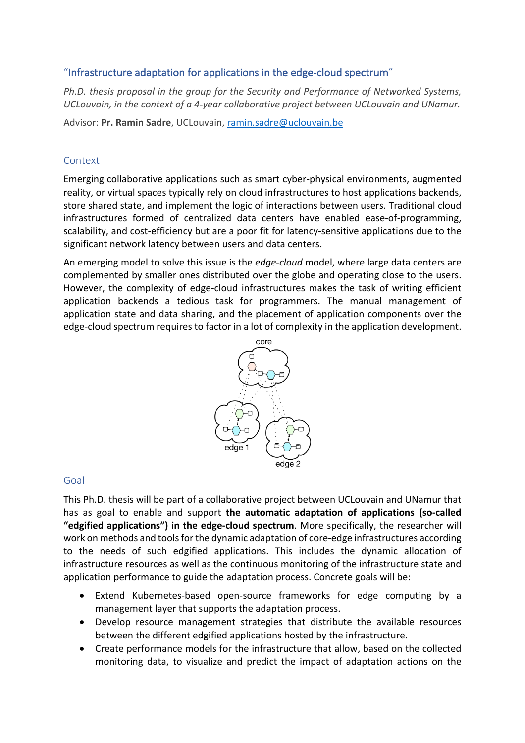# "Infrastructure adaptation for applications in the edge-cloud spectrum"

*Ph.D. thesis proposal in the group for the Security and Performance of Networked Systems, UCLouvain, in the context of a 4-year collaborative project between UCLouvain and UNamur.*

Advisor: **Pr. Ramin Sadre**, UCLouvain, ramin.sadre@uclouvain.be

## Context

Emerging collaborative applications such as smart cyber-physical environments, augmented reality, or virtual spaces typically rely on cloud infrastructures to host applications backends, store shared state, and implement the logic of interactions between users. Traditional cloud infrastructures formed of centralized data centers have enabled ease-of-programming, scalability, and cost-efficiency but are a poor fit for latency-sensitive applications due to the significant network latency between users and data centers.

An emerging model to solve this issue is the *edge-cloud* model, where large data centers are complemented by smaller ones distributed over the globe and operating close to the users. However, the complexity of edge-cloud infrastructures makes the task of writing efficient application backends a tedious task for programmers. The manual management of application state and data sharing, and the placement of application components over the edge-cloud spectrum requires to factor in a lot of complexity in the application development.



### Goal

This Ph.D. thesis will be part of a collaborative project between UCLouvain and UNamur that has as goal to enable and support **the automatic adaptation of applications (so-called "edgified applications") in the edge-cloud spectrum**. More specifically, the researcher will work on methods and tools for the dynamic adaptation of core-edge infrastructures according to the needs of such edgified applications. This includes the dynamic allocation of infrastructure resources as well as the continuous monitoring of the infrastructure state and application performance to guide the adaptation process. Concrete goals will be:

- Extend Kubernetes-based open-source frameworks for edge computing by a management layer that supports the adaptation process.
- Develop resource management strategies that distribute the available resources between the different edgified applications hosted by the infrastructure.
- Create performance models for the infrastructure that allow, based on the collected monitoring data, to visualize and predict the impact of adaptation actions on the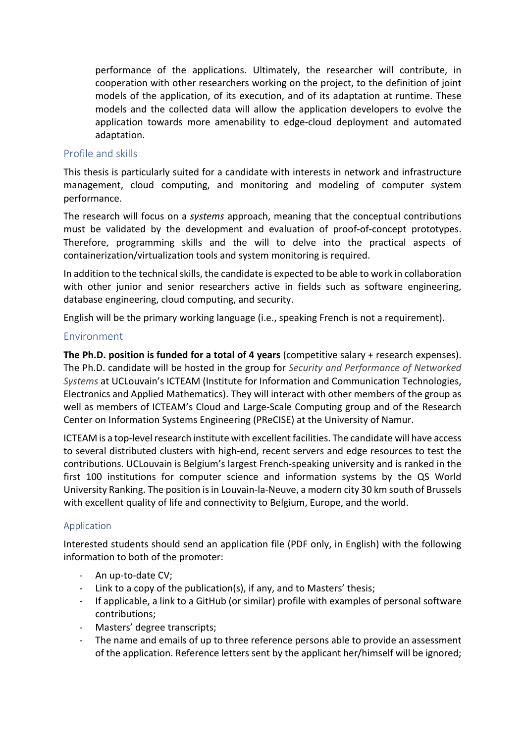performance of the applications. Ultimately, the researcher will contribute, in cooperation with other researchers working on the project, to the definition of joint models of the application, of its execution, and of its adaptation at runtime. These models and the collected data will allow the application developers to evolve the application towards more amenability to edge-cloud deployment and automated adaptation.

### Profile and skills

This thesis is particularly suited for a candidate with interests in network and infrastructure management, cloud computing, and monitoring and modeling of computer system performance.

The research will focus on a *systems* approach, meaning that the conceptual contributions must be validated by the development and evaluation of proof-of-concept prototypes. Therefore, programming skills and the will to delve into the practical aspects of containerization/virtualization tools and system monitoring is required.

In addition to the technical skills, the candidate is expected to be able to work in collaboration with other junior and senior researchers active in fields such as software engineering, database engineering, cloud computing, and security.

English will be the primary working language (i.e., speaking French is not a requirement).

#### Environment

**The Ph.D. position is funded for a total of 4 years** (competitive salary + research expenses). The Ph.D. candidate will be hosted in the group for *Security and Performance of Networked Systems* at UCLouvain's ICTEAM (Institute for Information and Communication Technologies, Electronics and Applied Mathematics). They will interact with other members of the group as well as members of ICTEAM's Cloud and Large-Scale Computing group and of the Research Center on Information Systems Engineering (PReCISE) at the University of Namur.

ICTEAM is a top-level research institute with excellent facilities. The candidate will have access to several distributed clusters with high-end, recent servers and edge resources to test the contributions. UCLouvain is Belgium's largest French-speaking university and is ranked in the first 100 institutions for computer science and information systems by the QS World University Ranking. The position is in Louvain-la-Neuve, a modern city 30 km south of Brussels with excellent quality of life and connectivity to Belgium, Europe, and the world.

#### Application

Interested students should send an application file (PDF only, in English) with the following information to both of the promoter:

- An up-to-date CV;
- Link to a copy of the publication(s), if any, and to Masters' thesis;
- If applicable, a link to a GitHub (or similar) profile with examples of personal software contributions;
- Masters' degree transcripts;
- The name and emails of up to three reference persons able to provide an assessment of the application. Reference letters sent by the applicant her/himself will be ignored;